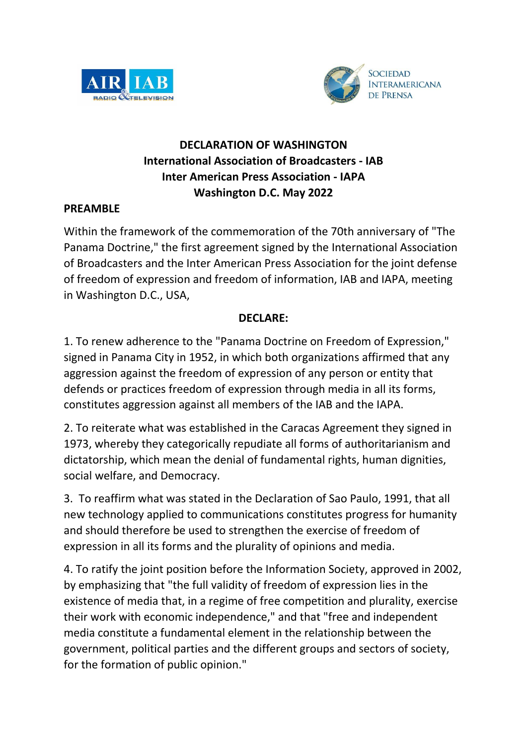



## **DECLARATION OF WASHINGTON International Association of Broadcasters - IAB Inter American Press Association - IAPA Washington D.C. May 2022**

## **PREAMBLE**

Within the framework of the commemoration of the 70th anniversary of "The Panama Doctrine," the first agreement signed by the International Association of Broadcasters and the Inter American Press Association for the joint defense of freedom of expression and freedom of information, IAB and IAPA, meeting in Washington D.C., USA,

## **DECLARE:**

1. To renew adherence to the "Panama Doctrine on Freedom of Expression," signed in Panama City in 1952, in which both organizations affirmed that any aggression against the freedom of expression of any person or entity that defends or practices freedom of expression through media in all its forms, constitutes aggression against all members of the IAB and the IAPA.

2. To reiterate what was established in the Caracas Agreement they signed in 1973, whereby they categorically repudiate all forms of authoritarianism and dictatorship, which mean the denial of fundamental rights, human dignities, social welfare, and Democracy.

3. To reaffirm what was stated in the Declaration of Sao Paulo, 1991, that all new technology applied to communications constitutes progress for humanity and should therefore be used to strengthen the exercise of freedom of expression in all its forms and the plurality of opinions and media.

4. To ratify the joint position before the Information Society, approved in 2002, by emphasizing that "the full validity of freedom of expression lies in the existence of media that, in a regime of free competition and plurality, exercise their work with economic independence," and that "free and independent media constitute a fundamental element in the relationship between the government, political parties and the different groups and sectors of society, for the formation of public opinion."